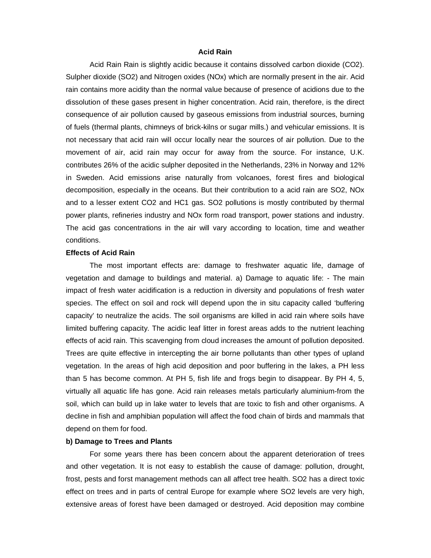# **Acid Rain**

Acid Rain Rain is slightly acidic because it contains dissolved carbon dioxide (CO2). Sulpher dioxide (SO2) and Nitrogen oxides (NOx) which are normally present in the air. Acid rain contains more acidity than the normal value because of presence of acidions due to the dissolution of these gases present in higher concentration. Acid rain, therefore, is the direct consequence of air pollution caused by gaseous emissions from industrial sources, burning of fuels (thermal plants, chimneys of brick-kilns or sugar mills.) and vehicular emissions. It is not necessary that acid rain will occur locally near the sources of air pollution. Due to the movement of air, acid rain may occur for away from the source. For instance, U.K. contributes 26% of the acidic sulpher deposited in the Netherlands, 23% in Norway and 12% in Sweden. Acid emissions arise naturally from volcanoes, forest fires and biological decomposition, especially in the oceans. But their contribution to a acid rain are SO2, NOx and to a lesser extent CO2 and HC1 gas. SO2 pollutions is mostly contributed by thermal power plants, refineries industry and NOx form road transport, power stations and industry. The acid gas concentrations in the air will vary according to location, time and weather conditions.

## **Effects of Acid Rain**

The most important effects are: damage to freshwater aquatic life, damage of vegetation and damage to buildings and material. a) Damage to aquatic life: - The main impact of fresh water acidification is a reduction in diversity and populations of fresh water species. The effect on soil and rock will depend upon the in situ capacity called 'buffering capacity' to neutralize the acids. The soil organisms are killed in acid rain where soils have limited buffering capacity. The acidic leaf litter in forest areas adds to the nutrient leaching effects of acid rain. This scavenging from cloud increases the amount of pollution deposited. Trees are quite effective in intercepting the air borne pollutants than other types of upland vegetation. In the areas of high acid deposition and poor buffering in the lakes, a PH less than 5 has become common. At PH 5, fish life and frogs begin to disappear. By PH 4, 5, virtually all aquatic life has gone. Acid rain releases metals particularly aluminium-from the soil, which can build up in lake water to levels that are toxic to fish and other organisms. A decline in fish and amphibian population will affect the food chain of birds and mammals that depend on them for food.

### **b) Damage to Trees and Plants**

For some years there has been concern about the apparent deterioration of trees and other vegetation. It is not easy to establish the cause of damage: pollution, drought, frost, pests and forst management methods can all affect tree health. SO2 has a direct toxic effect on trees and in parts of central Europe for example where SO2 levels are very high, extensive areas of forest have been damaged or destroyed. Acid deposition may combine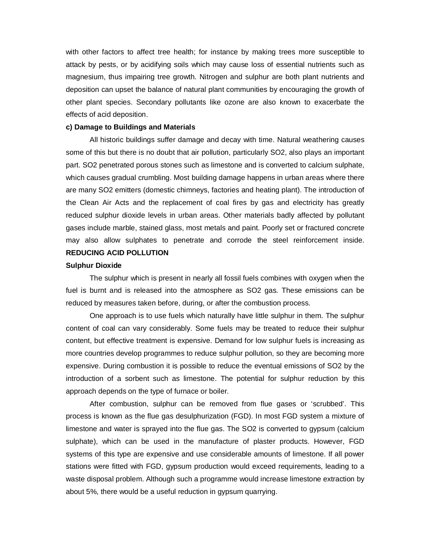with other factors to affect tree health; for instance by making trees more susceptible to attack by pests, or by acidifying soils which may cause loss of essential nutrients such as magnesium, thus impairing tree growth. Nitrogen and sulphur are both plant nutrients and deposition can upset the balance of natural plant communities by encouraging the growth of other plant species. Secondary pollutants like ozone are also known to exacerbate the effects of acid deposition.

## **c) Damage to Buildings and Materials**

All historic buildings suffer damage and decay with time. Natural weathering causes some of this but there is no doubt that air pollution, particularly SO2, also plays an important part. SO2 penetrated porous stones such as limestone and is converted to calcium sulphate, which causes gradual crumbling. Most building damage happens in urban areas where there are many SO2 emitters (domestic chimneys, factories and heating plant). The introduction of the Clean Air Acts and the replacement of coal fires by gas and electricity has greatly reduced sulphur dioxide levels in urban areas. Other materials badly affected by pollutant gases include marble, stained glass, most metals and paint. Poorly set or fractured concrete may also allow sulphates to penetrate and corrode the steel reinforcement inside. **REDUCING ACID POLLUTION** 

#### **Sulphur Dioxide**

The sulphur which is present in nearly all fossil fuels combines with oxygen when the fuel is burnt and is released into the atmosphere as SO2 gas. These emissions can be reduced by measures taken before, during, or after the combustion process.

One approach is to use fuels which naturally have little sulphur in them. The sulphur content of coal can vary considerably. Some fuels may be treated to reduce their sulphur content, but effective treatment is expensive. Demand for low sulphur fuels is increasing as more countries develop programmes to reduce sulphur pollution, so they are becoming more expensive. During combustion it is possible to reduce the eventual emissions of SO2 by the introduction of a sorbent such as limestone. The potential for sulphur reduction by this approach depends on the type of furnace or boiler.

After combustion, sulphur can be removed from flue gases or 'scrubbed'. This process is known as the flue gas desulphurization (FGD). In most FGD system a mixture of limestone and water is sprayed into the flue gas. The SO2 is converted to gypsum (calcium sulphate), which can be used in the manufacture of plaster products. However, FGD systems of this type are expensive and use considerable amounts of limestone. If all power stations were fitted with FGD, gypsum production would exceed requirements, leading to a waste disposal problem. Although such a programme would increase limestone extraction by about 5%, there would be a useful reduction in gypsum quarrying.